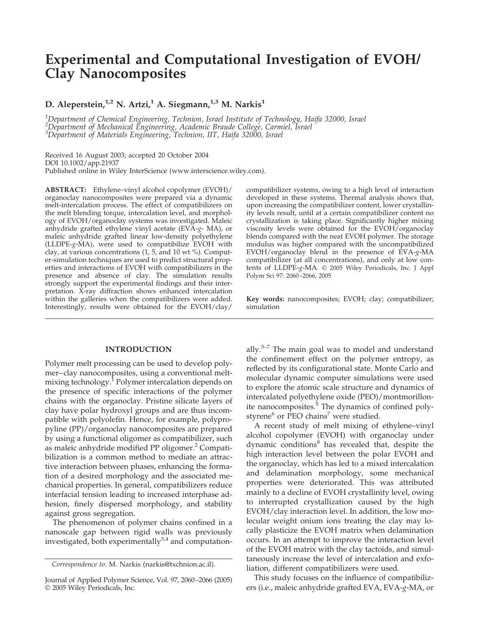# **Experimental and Computational Investigation of EVOH/ Clay Nanocomposites**

## **D.** Aleperstein,<sup>1,2</sup> N. Artzi,<sup>1</sup> A. Siegmann,<sup>1,3</sup> M. Narkis<sup>1</sup>

<sup>1</sup>Department of Chemical Engineering, Technion, Israel Institute of Technology, Haifa 32000, Israel<br><sup>2</sup>Department of Mechanical Engineering, Academic Braude College, Carmiel, Israel<br><sup>3</sup>Department of Materials Engineering,

Received 16 August 2003; accepted 20 October 2004 DOI 10.1002/app.21937 Published online in Wiley InterScience (www.interscience.wiley.com).

**ABSTRACT:** Ethylene–vinyl alcohol copolymer (EVOH)/ organoclay nanocomposites were prepared via a dynamic melt-intercalation process. The effect of compatibilizers on the melt blending torque, intercalation level, and morphology of EVOH/organoclay systems was investigated. Maleic anhydride grafted ethylene vinyl acetate (EVA-*g*- MA), or maleic anhydride grafted linear low-density polyethylene (LLDPE-*g*-MA), were used to compatibilize EVOH with clay, at various concentrations (1, 5, and 10 wt %). Computer-simulation techniques are used to predict structural properties and interactions of EVOH with compatibilizers in the presence and absence of clay. The simulation results strongly support the experimental findings and their interpretation. X-ray diffraction shows enhanced intercalation within the galleries when the compatibilizers were added. Interestingly, results were obtained for the EVOH/clay/

#### **INTRODUCTION**

Polymer melt processing can be used to develop polymer– clay nanocomposites, using a conventional meltmixing technology.<sup>1</sup> Polymer intercalation depends on the presence of specific interactions of the polymer chains with the organoclay. Pristine silicate layers of clay have polar hydroxyl groups and are thus incompatible with polyolefin. Hence, for example, polypropyline (PP)/organoclay nanocomposites are prepared by using a functional oligomer as compatibilizer, such as maleic anhydride modified PP oligomer.<sup>2</sup> Compatibilization is a common method to mediate an attractive interaction between phases, enhancing the formation of a desired morphology and the associated mechanical properties. In general, compatibilizers reduce interfacial tension leading to increased interphase adhesion, finely dispersed morphology, and stability against gross segregation.

The phenomenon of polymer chains confined in a nanoscale gap between rigid walls was previously investigated, both experimentally $3,4$  and computation-

compatibilizer systems, owing to a high level of interaction developed in these systems. Thermal analysis shows that, upon increasing the compatibilizer content, lower crystallinity levels result, until at a certain compatibilizer content no crystallization is taking place. Significantly higher mixing viscosity levels were obtained for the EVOH/organoclay blends compared with the neat EVOH polymer. The storage modulus was higher compared with the uncompatibilized EVOH/organoclay blend in the presence of EVA-*g*-MA compatibilizer (at all concentrations), and only at low contents of LLDPE-*g*-MA. © 2005 Wiley Periodicals, Inc. J Appl Polym Sci 97: 2060 –2066, 2005

**Key words:** nanocomposites; EVOH; clay; compatibilizer; simulation

ally. $5-7$  The main goal was to model and understand the confinement effect on the polymer entropy, as reflected by its configurational state. Monte Carlo and molecular dynamic computer simulations were used to explore the atomic scale structure and dynamics of intercalated polyethylene oxide (PEO)/montmorillonite nanocomposites.<sup>5</sup> The dynamics of confined polystyrene $^6$  or PEO chains<sup>7</sup> were studied.

A recent study of melt mixing of ethylene–vinyl alcohol copolymer (EVOH) with organoclay under dynamic conditions<sup>8</sup> has revealed that, despite the high interaction level between the polar EVOH and the organoclay, which has led to a mixed intercalation and delamination morphology, some mechanical properties were deteriorated. This was attributed mainly to a decline of EVOH crystallinity level, owing to interrupted crystallization caused by the high EVOH/clay interaction level. In addition, the low molecular weight onium ions treating the clay may locally plasticize the EVOH matrix when delamination occurs. In an attempt to improve the interaction level of the EVOH matrix with the clay tactoids, and simultaneously increase the level of intercalation and exfoliation, different compatibilizers were used.

This study focuses on the influence of compatibilizers (i.e., maleic anhydride grafted EVA, EVA-*g*-MA, or

*Correspondence to:* M. Narkis (narkis@txchnion.ac.il).

Journal of Applied Polymer Science, Vol. 97, 2060 –2066 (2005) © 2005 Wiley Periodicals, Inc.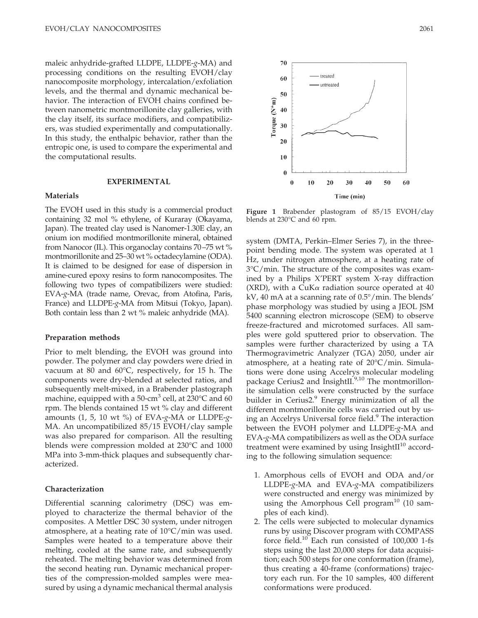maleic anhydride-grafted LLDPE, LLDPE-*g*-MA) and processing conditions on the resulting EVOH/clay nanocomposite morphology, intercalation/exfoliation levels, and the thermal and dynamic mechanical behavior. The interaction of EVOH chains confined between nanometric montmorillonite clay galleries, with the clay itself, its surface modifiers, and compatibilizers, was studied experimentally and computationally. In this study, the enthalpic behavior, rather than the entropic one, is used to compare the experimental and the computational results.

#### **EXPERIMENTAL**

#### **Materials**

The EVOH used in this study is a commercial product containing 32 mol % ethylene, of Kuraray (Okayama, Japan). The treated clay used is Nanomer-1.30E clay, an onium ion modified montmorillonite mineral, obtained from Nanocor (IL). This organoclay contains 70 –75 wt % montmorillonite and 25–30 wt % octadecylamine (ODA). It is claimed to be designed for ease of dispersion in amine-cured epoxy resins to form nanocomposites. The following two types of compatibilizers were studied: EVA-*g*-MA (trade name, Orevac, from Atofina, Paris, France) and LLDPE-*g*-MA from Mitsui (Tokyo, Japan). Both contain less than 2 wt % maleic anhydride (MA).

#### **Preparation methods**

Prior to melt blending, the EVOH was ground into powder. The polymer and clay powders were dried in vacuum at 80 and 60°C, respectively, for 15 h. The components were dry-blended at selected ratios, and subsequently melt-mixed, in a Brabender plastograph machine, equipped with a 50-cm<sup>3</sup> cell, at 230 $\degree$ C and 60 rpm. The blends contained 15 wt % clay and different amounts (1, 5, 10 wt %) of EVA-*g*-MA or LLDPE-*g*-MA. An uncompatibilized 85/15 EVOH/clay sample was also prepared for comparison. All the resulting blends were compression molded at 230°C and 1000 MPa into 3-mm-thick plaques and subsequently characterized.

### **Characterization**

Differential scanning calorimetry (DSC) was employed to characterize the thermal behavior of the composites. A Mettler DSC 30 system, under nitrogen atmosphere, at a heating rate of 10°C/min was used. Samples were heated to a temperature above their melting, cooled at the same rate, and subsequently reheated. The melting behavior was determined from the second heating run. Dynamic mechanical properties of the compression-molded samples were measured by using a dynamic mechanical thermal analysis



**Figure 1** Brabender plastogram of 85/15 EVOH/clay blends at 230°C and 60 rpm.

system (DMTA, Perkin–Elmer Series 7), in the threepoint bending mode. The system was operated at 1 Hz, under nitrogen atmosphere, at a heating rate of 3°C/min. The structure of the composites was examined by a Philips X'PERT system X-ray diffraction  $(XRD)$ , with a CuK $\alpha$  radiation source operated at 40 kV, 40 mA at a scanning rate of 0.5°/min. The blends' phase morphology was studied by using a JEOL JSM 5400 scanning electron microscope (SEM) to observe freeze-fractured and microtomed surfaces. All samples were gold sputtered prior to observation. The samples were further characterized by using a TA Thermogravimetric Analyzer (TGA) 2050, under air atmosphere, at a heating rate of 20°C/min. Simulations were done using Accelrys molecular modeling package Cerius2 and InsightII.<sup>9,10</sup> The montmorillonite simulation cells were constructed by the surface builder in Cerius2.<sup>9</sup> Energy minimization of all the different montmorillonite cells was carried out by using an Accelrys Universal force field.<sup>9</sup> The interaction between the EVOH polymer and LLDPE-*g*-MA and EVA-*g*-MA compatibilizers as well as the ODA surface treatment were examined by using  $InsightII^{10}$  according to the following simulation sequence:

- 1. Amorphous cells of EVOH and ODA and/or LLDPE-*g*-MA and EVA-*g*-MA compatibilizers were constructed and energy was minimized by using the Amorphous Cell program<sup>10</sup> (10 samples of each kind).
- 2. The cells were subjected to molecular dynamics runs by using Discover program with COMPASS force field. $10$  Each run consisted of 100,000 1-fs steps using the last 20,000 steps for data acquisition; each 500 steps for one conformation (frame), thus creating a 40-frame (conformations) trajectory each run. For the 10 samples, 400 different conformations were produced.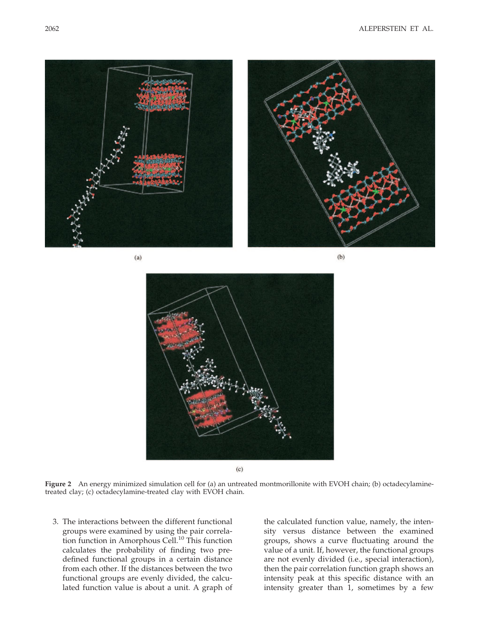

 $(a)$ 





 $(c)$ 

**Figure 2** An energy minimized simulation cell for (a) an untreated montmorillonite with EVOH chain; (b) octadecylaminetreated clay; (c) octadecylamine-treated clay with EVOH chain.

3. The interactions between the different functional groups were examined by using the pair correlation function in Amorphous Cell.<sup>10</sup> This function calculates the probability of finding two predefined functional groups in a certain distance from each other. If the distances between the two functional groups are evenly divided, the calculated function value is about a unit. A graph of

the calculated function value, namely, the intensity versus distance between the examined groups, shows a curve fluctuating around the value of a unit. If, however, the functional groups are not evenly divided (i.e., special interaction), then the pair correlation function graph shows an intensity peak at this specific distance with an intensity greater than 1, sometimes by a few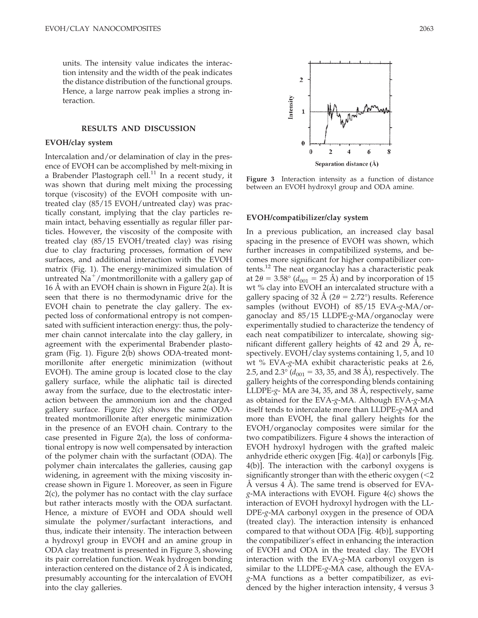units. The intensity value indicates the interaction intensity and the width of the peak indicates the distance distribution of the functional groups. Hence, a large narrow peak implies a strong interaction.

#### **RESULTS AND DISCUSSION**

#### **EVOH/clay system**

Intercalation and/or delamination of clay in the presence of EVOH can be accomplished by melt-mixing in a Brabender Plastograph cell. $^{11}$  In a recent study, it was shown that during melt mixing the processing torque (viscosity) of the EVOH composite with untreated clay (85/15 EVOH/untreated clay) was practically constant, implying that the clay particles remain intact, behaving essentially as regular filler particles. However, the viscosity of the composite with treated clay (85/15 EVOH/treated clay) was rising due to clay fracturing processes, formation of new surfaces, and additional interaction with the EVOH matrix (Fig. 1). The energy-minimized simulation of untreated  $\mathrm{Na}^+$ /montmorillonite with a gallery gap of 16 Å with an EVOH chain is shown in Figure 2(a). It is seen that there is no thermodynamic drive for the EVOH chain to penetrate the clay gallery. The expected loss of conformational entropy is not compensated with sufficient interaction energy: thus, the polymer chain cannot intercalate into the clay gallery, in agreement with the experimental Brabender plastogram (Fig. 1). Figure 2(b) shows ODA-treated montmorillonite after energetic minimization (without EVOH). The amine group is located close to the clay gallery surface, while the aliphatic tail is directed away from the surface, due to the electrostatic interaction between the ammonium ion and the charged gallery surface. Figure 2(c) shows the same ODAtreated montmorillonite after energetic minimization in the presence of an EVOH chain. Contrary to the case presented in Figure 2(a), the loss of conformational entropy is now well compensated by interaction of the polymer chain with the surfactant (ODA). The polymer chain intercalates the galleries, causing gap widening, in agreement with the mixing viscosity increase shown in Figure 1. Moreover, as seen in Figure 2(c), the polymer has no contact with the clay surface but rather interacts mostly with the ODA surfactant. Hence, a mixture of EVOH and ODA should well simulate the polymer/surfactant interactions, and thus, indicate their intensity. The interaction between a hydroxyl group in EVOH and an amine group in ODA clay treatment is presented in Figure 3, showing its pair correlation function. Weak hydrogen bonding interaction centered on the distance of 2 Å is indicated, presumably accounting for the intercalation of EVOH into the clay galleries.



**Figure 3** Interaction intensity as a function of distance between an EVOH hydroxyl group and ODA amine.

#### **EVOH/compatibilizer/clay system**

In a previous publication, an increased clay basal spacing in the presence of EVOH was shown, which further increases in compatibilized systems, and becomes more significant for higher compatibilizer contents.<sup>12</sup> The neat organoclay has a characteristic peak at  $2\theta = 3.58^{\circ}$  ( $d_{001} = 25$  Å) and by incorporation of 15 wt % clay into EVOH an intercalated structure with a gallery spacing of 32 Å (2 $\theta$  = 2.72°) results. Reference samples (without EVOH) of 85/15 EVA-*g*-MA/organoclay and 85/15 LLDPE-*g*-MA/organoclay were experimentally studied to characterize the tendency of each neat compatibilizer to intercalate, showing significant different gallery heights of 42 and 29 Å, respectively. EVOH/clay systems containing 1, 5, and 10 wt % EVA-*g*-MA exhibit characteristic peaks at 2.6, 2.5, and 2.3 $^{\circ}$  ( $d_{001}$  = 33, 35, and 38 Å), respectively. The gallery heights of the corresponding blends containing LLDPE-*g*- MA are 34, 35, and 38 Å, respectively, same as obtained for the EVA-*g*-MA. Although EVA-*g*-MA itself tends to intercalate more than LLDPE-*g*-MA and more than EVOH, the final gallery heights for the EVOH/organoclay composites were similar for the two compatibilizers. Figure 4 shows the interaction of EVOH hydroxyl hydrogen with the grafted maleic anhydride etheric oxygen [Fig. 4(a)] or carbonyls [Fig. 4(b)]. The interaction with the carbonyl oxygens is significantly stronger than with the etheric oxygen  $\leq 2$ Å versus 4 Å). The same trend is observed for EVA*g*-MA interactions with EVOH. Figure 4(c) shows the interaction of EVOH hydroxyl hydrogen with the LL-DPE-*g*-MA carbonyl oxygen in the presence of ODA (treated clay). The interaction intensity is enhanced compared to that without ODA [Fig. 4(b)], supporting the compatibilizer's effect in enhancing the interaction of EVOH and ODA in the treated clay. The EVOH interaction with the EVA-*g*-MA carbonyl oxygen is similar to the LLDPE-*g*-MA case, although the EVA*g*-MA functions as a better compatibilizer, as evidenced by the higher interaction intensity, 4 versus 3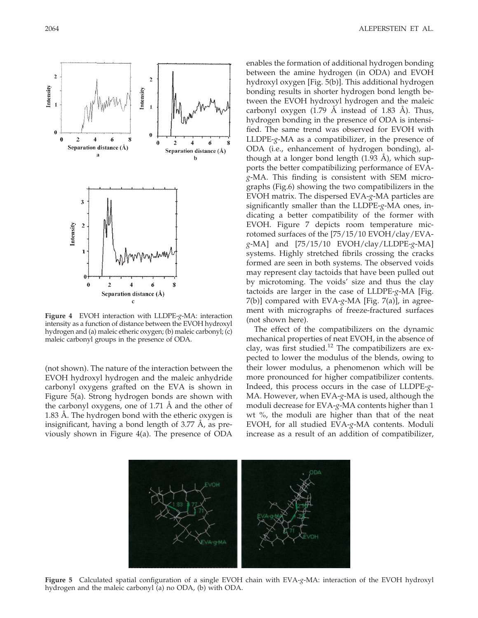

**Figure 4** EVOH interaction with LLDPE-*g*-MA: interaction intensity as a function of distance between the EVOH hydroxyl hydrogen and (a) maleic etheric oxygen; (b) maleic carbonyl; (c) maleic carbonyl groups in the presence of ODA.

(not shown). The nature of the interaction between the EVOH hydroxyl hydrogen and the maleic anhydride carbonyl oxygens grafted on the EVA is shown in Figure 5(a). Strong hydrogen bonds are shown with the carbonyl oxygens, one of 1.71 Å and the other of 1.83 Å. The hydrogen bond with the etheric oxygen is insignificant, having a bond length of 3.77 Å, as previously shown in Figure 4(a). The presence of ODA

enables the formation of additional hydrogen bonding between the amine hydrogen (in ODA) and EVOH hydroxyl oxygen [Fig. 5(b)]. This additional hydrogen bonding results in shorter hydrogen bond length between the EVOH hydroxyl hydrogen and the maleic carbonyl oxygen (1.79 Å instead of 1.83 Å). Thus, hydrogen bonding in the presence of ODA is intensified. The same trend was observed for EVOH with LLDPE-*g*-MA as a compatibilizer, in the presence of ODA (i.e., enhancement of hydrogen bonding), although at a longer bond length (1.93 Å), which supports the better compatibilizing performance of EVA*g*-MA. This finding is consistent with SEM micrographs (Fig.6) showing the two compatibilizers in the EVOH matrix. The dispersed EVA-*g*-MA particles are significantly smaller than the LLDPE-*g*-MA ones, indicating a better compatibility of the former with EVOH. Figure 7 depicts room temperature microtomed surfaces of the [75/15/10 EVOH/clay/EVA*g*-MA] and [75/15/10 EVOH/clay/LLDPE-*g*-MA] systems. Highly stretched fibrils crossing the cracks formed are seen in both systems. The observed voids may represent clay tactoids that have been pulled out by microtoming. The voids' size and thus the clay tactoids are larger in the case of LLDPE-*g*-MA [Fig. 7(b)] compared with EVA-*g*-MA [Fig. 7(a)], in agreement with micrographs of freeze-fractured surfaces (not shown here).

The effect of the compatibilizers on the dynamic mechanical properties of neat EVOH, in the absence of clay, was first studied.<sup>12</sup> The compatibilizers are expected to lower the modulus of the blends, owing to their lower modulus, a phenomenon which will be more pronounced for higher compatibilizer contents. Indeed, this process occurs in the case of LLDPE-*g*-MA. However, when EVA-*g*-MA is used, although the moduli decrease for EVA-*g*-MA contents higher than 1 wt %, the moduli are higher than that of the neat EVOH, for all studied EVA-*g*-MA contents. Moduli increase as a result of an addition of compatibilizer,



**Figure 5** Calculated spatial configuration of a single EVOH chain with EVA-*g*-MA: interaction of the EVOH hydroxyl hydrogen and the maleic carbonyl (a) no ODA, (b) with ODA.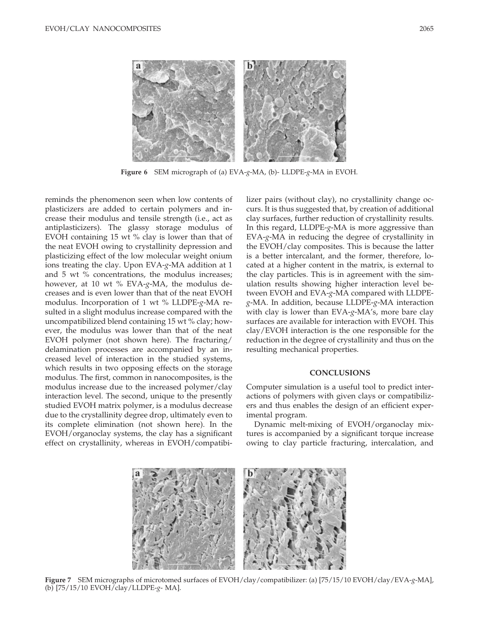

**Figure 6** SEM micrograph of (a) EVA-*g*-MA, (b)- LLDPE-*g*-MA in EVOH.

reminds the phenomenon seen when low contents of plasticizers are added to certain polymers and increase their modulus and tensile strength (i.e., act as antiplasticizers). The glassy storage modulus of EVOH containing 15 wt % clay is lower than that of the neat EVOH owing to crystallinity depression and plasticizing effect of the low molecular weight onium ions treating the clay. Upon EVA-*g*-MA addition at 1 and 5 wt % concentrations, the modulus increases; however, at 10 wt % EVA-*g*-MA, the modulus decreases and is even lower than that of the neat EVOH modulus. Incorporation of 1 wt % LLDPE-*g*-MA resulted in a slight modulus increase compared with the uncompatibilized blend containing 15 wt % clay; however, the modulus was lower than that of the neat EVOH polymer (not shown here). The fracturing/ delamination processes are accompanied by an increased level of interaction in the studied systems, which results in two opposing effects on the storage modulus. The first, common in nanocomposites, is the modulus increase due to the increased polymer/clay interaction level. The second, unique to the presently studied EVOH matrix polymer, is a modulus decrease due to the crystallinity degree drop, ultimately even to its complete elimination (not shown here). In the EVOH/organoclay systems, the clay has a significant effect on crystallinity, whereas in EVOH/compatibi-

lizer pairs (without clay), no crystallinity change occurs. It is thus suggested that, by creation of additional clay surfaces, further reduction of crystallinity results. In this regard, LLDPE-*g*-MA is more aggressive than EVA-*g*-MA in reducing the degree of crystallinity in the EVOH/clay composites. This is because the latter is a better intercalant, and the former, therefore, located at a higher content in the matrix, is external to the clay particles. This is in agreement with the simulation results showing higher interaction level between EVOH and EVA-*g*-MA compared with LLDPE*g*-MA. In addition, because LLDPE-*g*-MA interaction with clay is lower than EVA-*g*-MA's, more bare clay surfaces are available for interaction with EVOH. This clay/EVOH interaction is the one responsible for the reduction in the degree of crystallinity and thus on the resulting mechanical properties.

### **CONCLUSIONS**

Computer simulation is a useful tool to predict interactions of polymers with given clays or compatibilizers and thus enables the design of an efficient experimental program.

Dynamic melt-mixing of EVOH/organoclay mixtures is accompanied by a significant torque increase owing to clay particle fracturing, intercalation, and



**Figure 7** SEM micrographs of microtomed surfaces of EVOH/clay/compatibilizer: (a) [75/15/10 EVOH/clay/EVA-*g*-MA], (b) [75/15/10 EVOH/clay/LLDPE-*g*- MA].